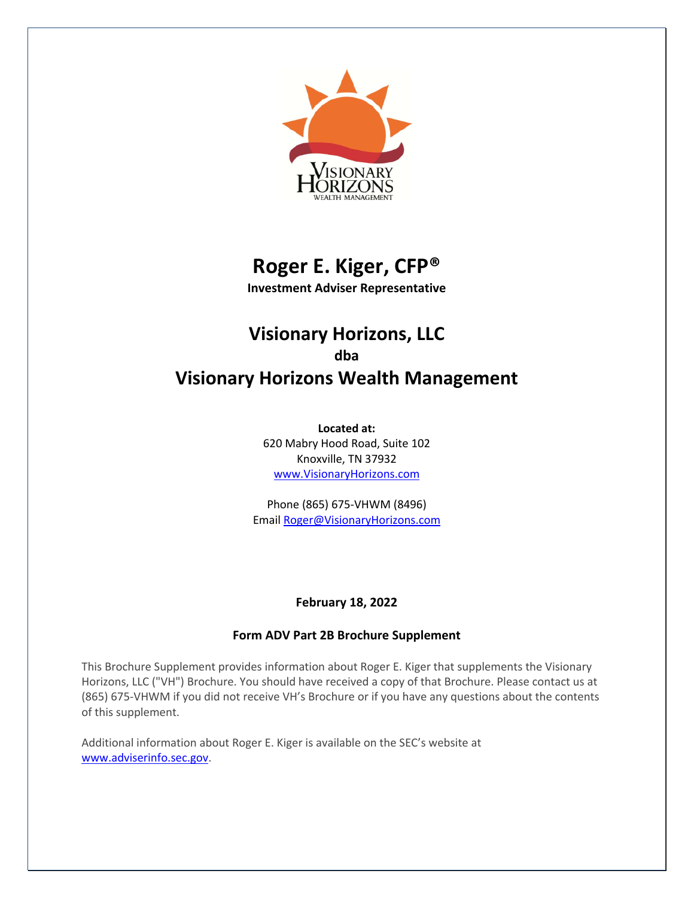

# **Roger E. Kiger, CFP®**

**Investment Adviser Representative**

## **Visionary Horizons, LLC dba Visionary Horizons Wealth Management**

**Located at:** 620 Mabry Hood Road, Suite 102 Knoxville, TN 37932 www.VisionaryHorizons.com

Phone (865) 675-VHWM (8496) Email Roger@VisionaryHorizons.com

## **February 18, 2022**

## **Form ADV Part 2B Brochure Supplement**

This Brochure Supplement provides information about Roger E. Kiger that supplements the Visionary Horizons, LLC ("VH") Brochure. You should have received a copy of that Brochure. Please contact us at (865) 675-VHWM if you did not receive VH's Brochure or if you have any questions about the contents of this supplement.

Additional information about Roger E. Kiger is available on the SEC's website at www.adviserinfo.sec.gov.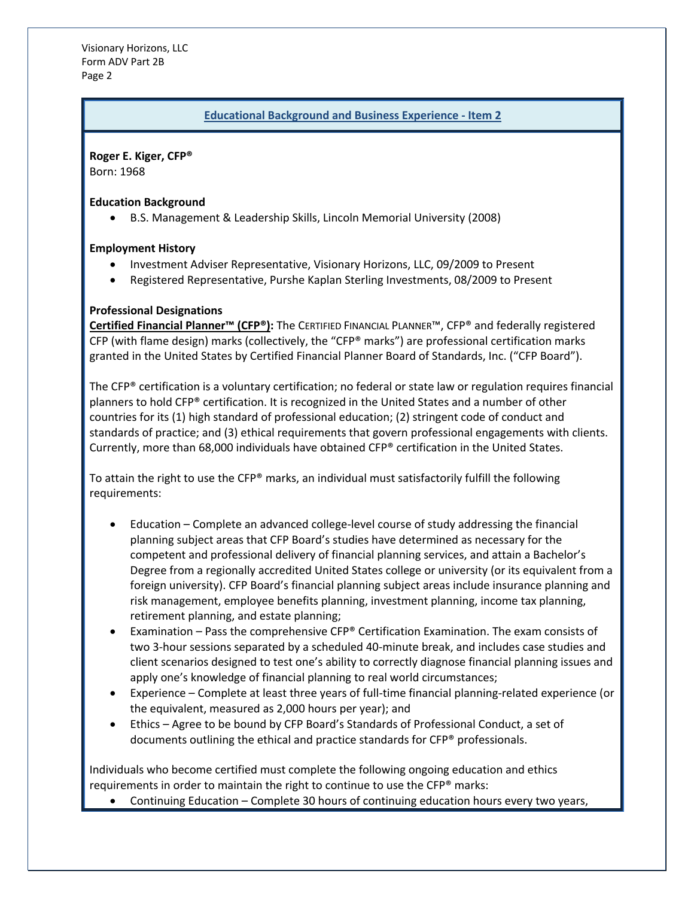Visionary Horizons, LLC Form ADV Part 2B Page 2

#### **Educational Background and Business Experience - Item 2**

**Roger E. Kiger, CFP®**

Born: 1968

#### **Education Background**

• B.S. Management & Leadership Skills, Lincoln Memorial University (2008)

#### **Employment History**

- Investment Adviser Representative, Visionary Horizons, LLC, 09/2009 to Present
- Registered Representative, Purshe Kaplan Sterling Investments, 08/2009 to Present

#### **Professional Designations**

**Certified Financial Planner™ (CFP®):** The CERTIFIED FINANCIAL PLANNER™, CFP® and federally registered CFP (with flame design) marks (collectively, the "CFP® marks") are professional certification marks granted in the United States by Certified Financial Planner Board of Standards, Inc. ("CFP Board").

The CFP® certification is a voluntary certification; no federal or state law or regulation requires financial planners to hold CFP® certification. It is recognized in the United States and a number of other countries for its (1) high standard of professional education; (2) stringent code of conduct and standards of practice; and (3) ethical requirements that govern professional engagements with clients. Currently, more than 68,000 individuals have obtained CFP® certification in the United States.

To attain the right to use the CFP® marks, an individual must satisfactorily fulfill the following requirements:

- Education Complete an advanced college-level course of study addressing the financial planning subject areas that CFP Board's studies have determined as necessary for the competent and professional delivery of financial planning services, and attain a Bachelor's Degree from a regionally accredited United States college or university (or its equivalent from a foreign university). CFP Board's financial planning subject areas include insurance planning and risk management, employee benefits planning, investment planning, income tax planning, retirement planning, and estate planning;
- Examination Pass the comprehensive CFP® Certification Examination. The exam consists of two 3-hour sessions separated by a scheduled 40-minute break, and includes case studies and client scenarios designed to test one's ability to correctly diagnose financial planning issues and apply one's knowledge of financial planning to real world circumstances;
- Experience Complete at least three years of full-time financial planning-related experience (or the equivalent, measured as 2,000 hours per year); and
- Ethics Agree to be bound by CFP Board's Standards of Professional Conduct, a set of documents outlining the ethical and practice standards for CFP® professionals.

Individuals who become certified must complete the following ongoing education and ethics requirements in order to maintain the right to continue to use the CFP® marks:

• Continuing Education – Complete 30 hours of continuing education hours every two years,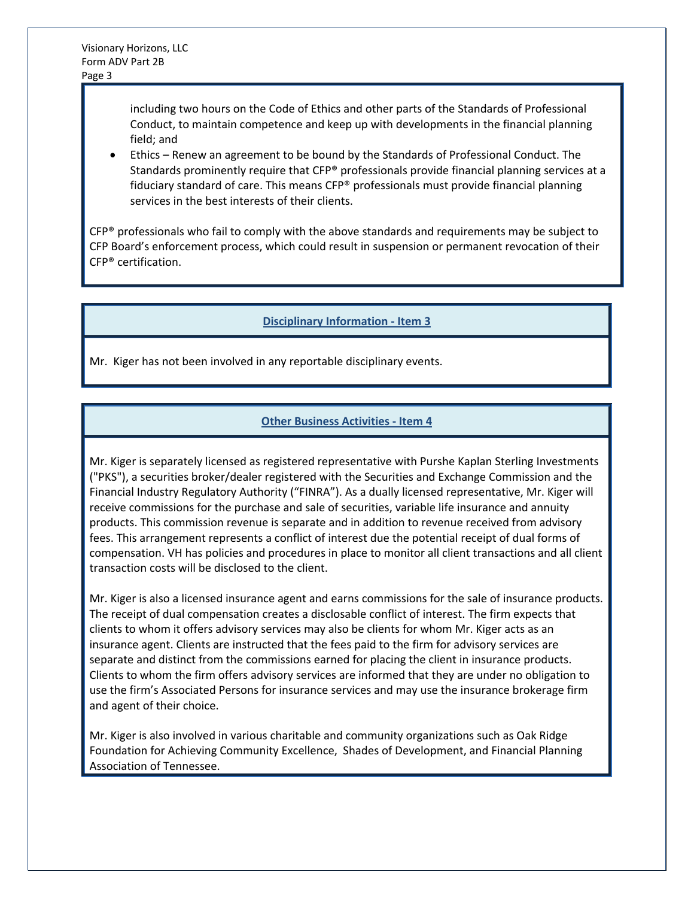including two hours on the Code of Ethics and other parts of the Standards of Professional Conduct, to maintain competence and keep up with developments in the financial planning field; and

• Ethics – Renew an agreement to be bound by the Standards of Professional Conduct. The Standards prominently require that CFP® professionals provide financial planning services at a fiduciary standard of care. This means CFP® professionals must provide financial planning services in the best interests of their clients.

 $CFP<sup>®</sup>$  professionals who fail to comply with the above standards and requirements may be subject to CFP Board's enforcement process, which could result in suspension or permanent revocation of their CFP® certification.

#### **Disciplinary Information - Item 3**

Mr. Kiger has not been involved in any reportable disciplinary events.

## **Other Business Activities - Item 4**

Mr. Kiger is separately licensed as registered representative with Purshe Kaplan Sterling Investments ("PKS"), a securities broker/dealer registered with the Securities and Exchange Commission and the Financial Industry Regulatory Authority ("FINRA"). As a dually licensed representative, Mr. Kiger will receive commissions for the purchase and sale of securities, variable life insurance and annuity products. This commission revenue is separate and in addition to revenue received from advisory fees. This arrangement represents a conflict of interest due the potential receipt of dual forms of compensation. VH has policies and procedures in place to monitor all client transactions and all client transaction costs will be disclosed to the client.

Mr. Kiger is also a licensed insurance agent and earns commissions for the sale of insurance products. The receipt of dual compensation creates a disclosable conflict of interest. The firm expects that clients to whom it offers advisory services may also be clients for whom Mr. Kiger acts as an insurance agent. Clients are instructed that the fees paid to the firm for advisory services are separate and distinct from the commissions earned for placing the client in insurance products. Clients to whom the firm offers advisory services are informed that they are under no obligation to use the firm's Associated Persons for insurance services and may use the insurance brokerage firm and agent of their choice.

Mr. Kiger is also involved in various charitable and community organizations such as Oak Ridge Foundation for Achieving Community Excellence, Shades of Development, and Financial Planning Association of Tennessee.